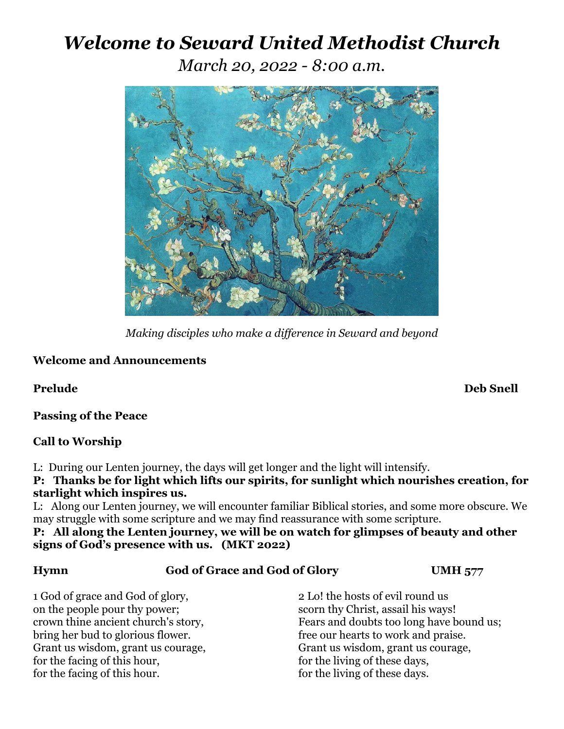# *Welcome to Seward United Methodist Church*

*March 20, 2022 - 8:00 a.m.*



*Making disciples who make a difference in Seward and beyond*

### **Welcome and Announcements**

**Prelude Deb Snell**

**Passing of the Peace**

### **Call to Worship**

L: During our Lenten journey, the days will get longer and the light will intensify.

**P: Thanks be for light which lifts our spirits, for sunlight which nourishes creation, for starlight which inspires us.** 

L: Along our Lenten journey, we will encounter familiar Biblical stories, and some more obscure. We may struggle with some scripture and we may find reassurance with some scripture.

**P: All along the Lenten journey, we will be on watch for glimpses of beauty and other signs of God's presence with us. (MKT 2022)**

| <b>Hymn</b>                                                                                                                                                                                                                                         |  | God of Grace and God of Glory                                                                                                                                                                                         | <b>UMH 577</b>                           |
|-----------------------------------------------------------------------------------------------------------------------------------------------------------------------------------------------------------------------------------------------------|--|-----------------------------------------------------------------------------------------------------------------------------------------------------------------------------------------------------------------------|------------------------------------------|
| 1 God of grace and God of glory,<br>on the people pour thy power;<br>crown thine ancient church's story,<br>bring her bud to glorious flower.<br>Grant us wisdom, grant us courage,<br>for the facing of this hour,<br>for the facing of this hour. |  | 2 Lo! the hosts of evil round us<br>scorn thy Christ, assail his ways!<br>free our hearts to work and praise.<br>Grant us wisdom, grant us courage,<br>for the living of these days,<br>for the living of these days. | Fears and doubts too long have bound us; |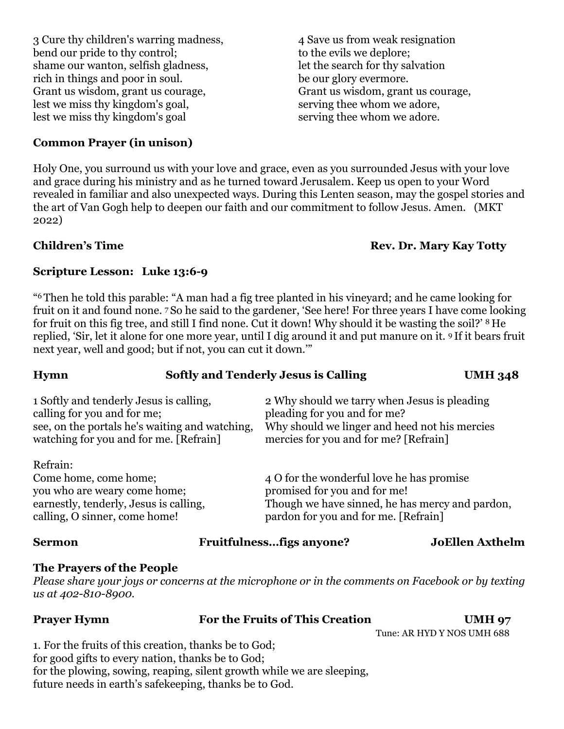3 Cure thy children's warring madness, 4 Save us from weak resignation bend our pride to thy control; to the evils we deplore; shame our wanton, selfish gladness,<br>  $let the search for thy solution$ <br>  $let the search for thy solution$ <br>  $be our glory even more.$ 

rich in things and poor in soul. Grant us wisdom, grant us courage, Grant us wisdom, grant us courage, lest we miss thy kingdom's goal, serving thee whom we adore, lest we miss thy kingdom's goal serving thee whom we adore.

## **Common Prayer (in unison)**

Holy One, you surround us with your love and grace, even as you surrounded Jesus with your love and grace during his ministry and as he turned toward Jerusalem. Keep us open to your Word revealed in familiar and also unexpected ways. During this Lenten season, may the gospel stories and the art of Van Gogh help to deepen our faith and our commitment to follow Jesus. Amen. (MKT 2022)

# **Children's Time Rev. Dr. Mary Kay Totty**

# **Scripture Lesson: Luke 13:6-9**

"6 Then he told this parable: "A man had a fig tree planted in his vineyard; and he came looking for fruit on it and found none. 7 So he said to the gardener, 'See here! For three years I have come looking for fruit on this fig tree, and still I find none. Cut it down! Why should it be wasting the soil?' 8 He replied, 'Sir, let it alone for one more year, until I dig around it and put manure on it. 9 If it bears fruit next year, well and good; but if not, you can cut it down.'"

| <b>Hymn</b>                                                                                                                                                        | <b>Softly and Tenderly Jesus is Calling</b>                                                                                                                            | <b>UMH 348</b> |
|--------------------------------------------------------------------------------------------------------------------------------------------------------------------|------------------------------------------------------------------------------------------------------------------------------------------------------------------------|----------------|
| 1 Softly and tenderly Jesus is calling,<br>calling for you and for me;<br>see, on the portals he's waiting and watching,<br>watching for you and for me. [Refrain] | 2 Why should we tarry when Jesus is pleading<br>pleading for you and for me?<br>Why should we linger and heed not his mercies<br>mercies for you and for me? [Refrain] |                |
| Refrain:<br>Come home, come home;<br>you who are weary come home;<br>earnestly, tenderly, Jesus is calling,<br>calling, O sinner, come home!                       | 4 O for the wonderful love he has promise<br>promised for you and for me!<br>Though we have sinned, he has mercy and pardon,<br>pardon for you and for me. [Refrain]   |                |

### **Sermon Fruitfulness…figs anyone? JoEllen Axthelm**

# **The Prayers of the People**

*Please share your joys or concerns at the microphone or in the comments on Facebook or by texting us at 402-810-8900.*

| <b>Prayer Hymn</b> | For the Fruits of This Creation | <b>UMH 97</b>              |
|--------------------|---------------------------------|----------------------------|
|                    |                                 | Tune: AR HYD Y NOS UMH 688 |

1. For the fruits of this creation, thanks be to God; for good gifts to every nation, thanks be to God; for the plowing, sowing, reaping, silent growth while we are sleeping, future needs in earth's safekeeping, thanks be to God.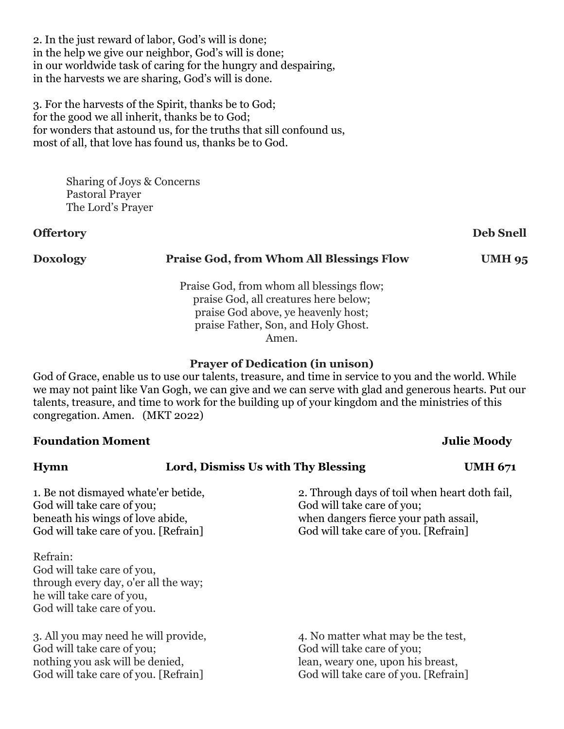2. In the just reward of labor, God's will is done; in the help we give our neighbor, God's will is done; in our worldwide task of caring for the hungry and despairing, in the harvests we are sharing, God's will is done.

3. For the harvests of the Spirit, thanks be to God; for the good we all inherit, thanks be to God; for wonders that astound us, for the truths that sill confound us, most of all, that love has found us, thanks be to God.

> Sharing of Joys & Concerns Pastoral Prayer The Lord's Prayer

### **Offertory Deb Snell**

### **Doxology Praise God, from Whom All Blessings Flow UMH 95**

Praise God, from whom all blessings flow; praise God, all creatures here below; praise God above, ye heavenly host; praise Father, Son, and Holy Ghost. Amen.

### **Prayer of Dedication (in unison)**

God of Grace, enable us to use our talents, treasure, and time in service to you and the world. While we may not paint like Van Gogh, we can give and we can serve with glad and generous hearts. Put our talents, treasure, and time to work for the building up of your kingdom and the ministries of this congregation. Amen. (MKT 2022)

# **Foundation Moment** Julie Moody **Hymn Lord, Dismiss Us with Thy Blessing UMH 671** 1. Be not dismayed whate'er betide, 2. Through days of toil when heart doth fail, God will take care of you; God will take care of you; beneath his wings of love abide, when dangers fierce your path assail, God will take care of you. [Refrain] God will take care of you. [Refrain] Refrain: God will take care of you, through every day, o'er all the way; he will take care of you, God will take care of you. 3. All you may need he will provide, 4. No matter what may be the test, God will take care of you; God will take care of you; nothing you ask will be denied, lean, weary one, upon his breast, God will take care of you. [Refrain] God will take care of you. [Refrain]